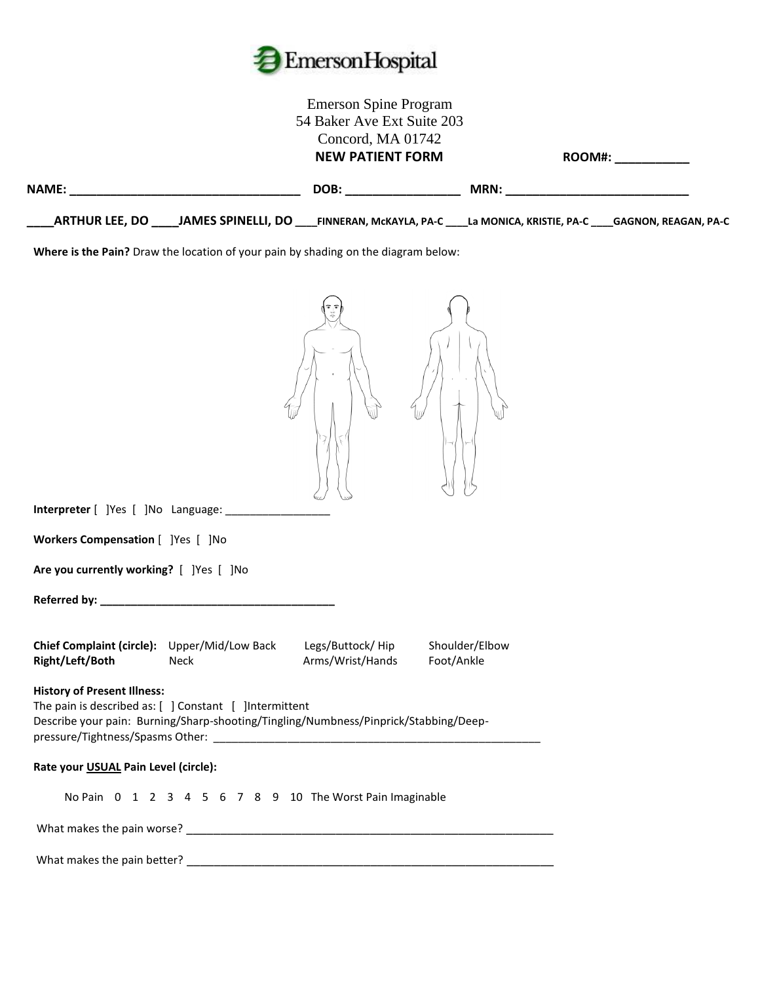

|                                                                                                                                                                                      | <b>Emerson Spine Program</b><br>54 Baker Ave Ext Suite 203<br>Concord, MA 01742<br><b>NEW PATIENT FORM</b> |                | ROOM#: ___________ |
|--------------------------------------------------------------------------------------------------------------------------------------------------------------------------------------|------------------------------------------------------------------------------------------------------------|----------------|--------------------|
|                                                                                                                                                                                      |                                                                                                            |                |                    |
| _ARTHUR LEE, DO _____JAMES SPINELLI, DO ____FINNERAN, McKAYLA, PA-C ____La MONICA, KRISTIE, PA-C ____GAGNON, REAGAN, PA-C                                                            |                                                                                                            |                |                    |
| Where is the Pain? Draw the location of your pain by shading on the diagram below:                                                                                                   |                                                                                                            |                |                    |
| Workers Compensation [ ]Yes [ ]No<br>Are you currently working? [ ]Yes [ ]No                                                                                                         |                                                                                                            |                |                    |
| Chief Complaint (circle): Upper/Mid/Low Back<br>Right/Left/Both<br>Neck                                                                                                              | Legs/Buttock/Hip<br>Arms/Wrist/Hands<br>Foot/Ankle                                                         | Shoulder/Elbow |                    |
| <b>History of Present Illness:</b><br>The pain is described as: [ ] Constant [ ]Intermittent<br>Describe your pain: Burning/Sharp-shooting/Tingling/Numbness/Pinprick/Stabbing/Deep- |                                                                                                            |                |                    |
| Rate your USUAL Pain Level (circle):                                                                                                                                                 |                                                                                                            |                |                    |
| No Pain 0 1 2 3 4 5 6 7 8 9 10 The Worst Pain Imaginable                                                                                                                             |                                                                                                            |                |                    |
|                                                                                                                                                                                      |                                                                                                            |                |                    |
| What makes the pain better?                                                                                                                                                          |                                                                                                            |                |                    |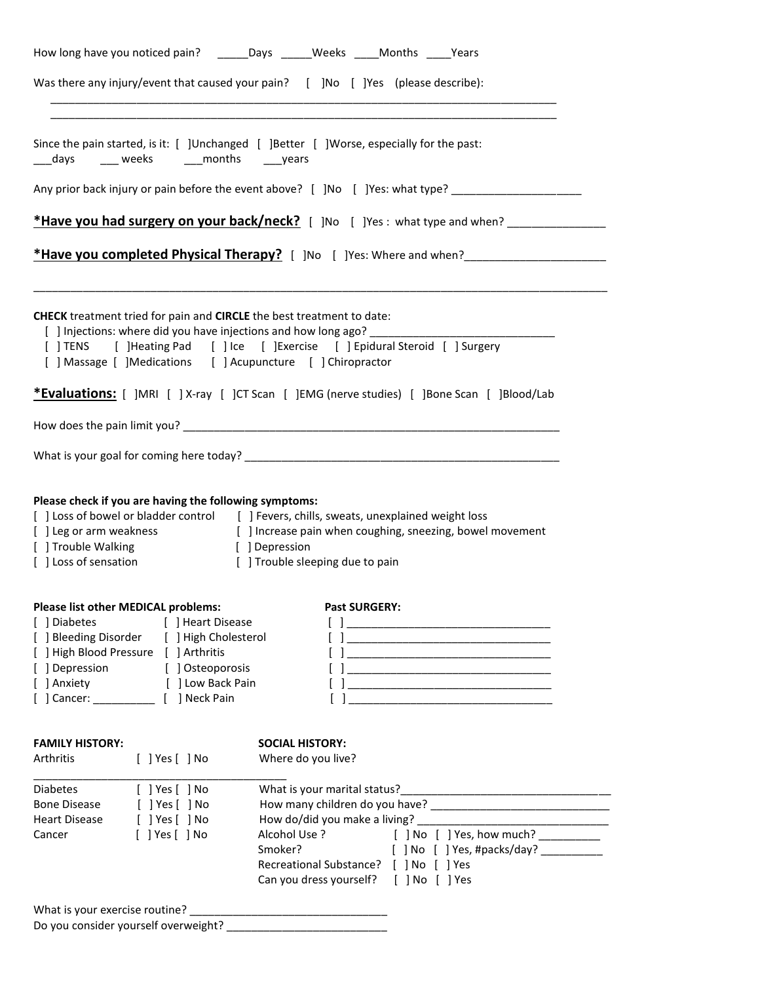| How long have you noticed pain? _______ Days ______ Weeks _____ Months _____ Years<br>Was there any injury/event that caused your pain? [ ]No [ ]Yes (please describe):                                                                                                                                      |                                                                                                                                                                                                                                                             |  |  |  |  |                                                                                                                                                                                                                        |                                                                                                   |
|--------------------------------------------------------------------------------------------------------------------------------------------------------------------------------------------------------------------------------------------------------------------------------------------------------------|-------------------------------------------------------------------------------------------------------------------------------------------------------------------------------------------------------------------------------------------------------------|--|--|--|--|------------------------------------------------------------------------------------------------------------------------------------------------------------------------------------------------------------------------|---------------------------------------------------------------------------------------------------|
|                                                                                                                                                                                                                                                                                                              |                                                                                                                                                                                                                                                             |  |  |  |  |                                                                                                                                                                                                                        |                                                                                                   |
| ___days ____ weeks _____months ____years                                                                                                                                                                                                                                                                     | Since the pain started, is it: [ ]Unchanged [ ]Better [ ]Worse, especially for the past:                                                                                                                                                                    |  |  |  |  |                                                                                                                                                                                                                        |                                                                                                   |
| Any prior back injury or pain before the event above? [ ]No [ ]Yes: what type? ____________________<br>*Have you had surgery on your back/neck? [ ]No [ ]Yes: what type and when? ____________                                                                                                               |                                                                                                                                                                                                                                                             |  |  |  |  |                                                                                                                                                                                                                        |                                                                                                   |
|                                                                                                                                                                                                                                                                                                              |                                                                                                                                                                                                                                                             |  |  |  |  | <b>CHECK</b> treatment tried for pain and <b>CIRCLE</b> the best treatment to date:<br>[ ] Injections: where did you have injections and how long ago?<br>[ ] Massage [ ] Medications [ ] Acupuncture [ ] Chiropractor | [ ] TENS [ ] Heating Pad [ ] Ice [ ] Exercise [ ] Epidural Steroid [ ] Surgery                    |
|                                                                                                                                                                                                                                                                                                              |                                                                                                                                                                                                                                                             |  |  |  |  |                                                                                                                                                                                                                        | <b>*Evaluations:</b> [ ]MRI [ ] X-ray [ ]CT Scan [ ]EMG (nerve studies) [ ]Bone Scan [ ]Blood/Lab |
|                                                                                                                                                                                                                                                                                                              |                                                                                                                                                                                                                                                             |  |  |  |  |                                                                                                                                                                                                                        |                                                                                                   |
|                                                                                                                                                                                                                                                                                                              |                                                                                                                                                                                                                                                             |  |  |  |  |                                                                                                                                                                                                                        |                                                                                                   |
| Please check if you are having the following symptoms:<br>[ ] Trouble Walking<br>[ ] Loss of sensation<br>Please list other MEDICAL problems:<br>[ ] Diabetes<br>[ ] Heart Disease<br>[ ] Bleeding Disorder [ ] High Cholesterol<br>[ ] High Blood Pressure [ ] Arthritis<br>[ ] Depression [ ] Osteoporosis | [ ] Loss of bowel or bladder control [ ] Fevers, chills, sweats, unexplained weight loss<br>[ ] Leg or arm weakness [ ] Increase pain when coughing, sneezing, bowel movement<br>[ ] Depression<br>[ ] Trouble sleeping due to pain<br><b>Past SURGERY:</b> |  |  |  |  |                                                                                                                                                                                                                        |                                                                                                   |
| [ ] Anxiety [ ] Low Back Pain                                                                                                                                                                                                                                                                                |                                                                                                                                                                                                                                                             |  |  |  |  |                                                                                                                                                                                                                        |                                                                                                   |
| [ ] Cancer: ________________ [ ] Neck Pain                                                                                                                                                                                                                                                                   |                                                                                                                                                                                                                                                             |  |  |  |  |                                                                                                                                                                                                                        |                                                                                                   |
| <b>FAMILY HISTORY:</b><br><b>Arthritis</b><br>$[$ ] Yes $[$ ] No                                                                                                                                                                                                                                             | <b>SOCIAL HISTORY:</b><br>Where do you live?                                                                                                                                                                                                                |  |  |  |  |                                                                                                                                                                                                                        |                                                                                                   |
| $[$ ] Yes $[$ ] No<br><b>Diabetes</b><br>[ ] Yes [ ] No<br><b>Bone Disease</b><br>[ ] Yes [ ] No<br>Heart Disease<br>$[$ ] Yes $[$ ] No<br>Cancer                                                                                                                                                            | [ ] No [ ] Yes, how much? _________<br>Alcohol Use ?<br>Smoker?<br>Recreational Substance? [ ] No [ ] Yes<br>Can you dress yourself? [ ] No [ ] Yes                                                                                                         |  |  |  |  |                                                                                                                                                                                                                        |                                                                                                   |
| What is your exercise routine?                                                                                                                                                                                                                                                                               |                                                                                                                                                                                                                                                             |  |  |  |  |                                                                                                                                                                                                                        |                                                                                                   |

Do you consider yourself overweight? \_\_\_\_\_\_\_\_\_\_\_\_\_\_\_\_\_\_\_\_\_\_\_\_\_\_